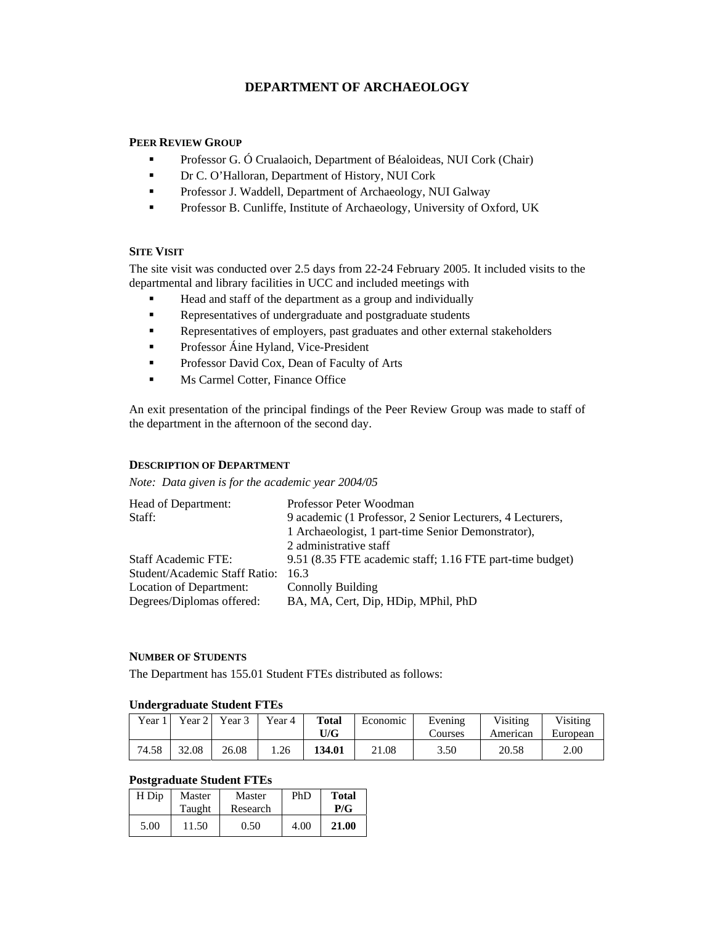# **DEPARTMENT OF ARCHAEOLOGY**

# **PEER REVIEW GROUP**

- **Professor G. Ó Crualaoich, Department of Béaloideas, NUI Cork (Chair)**
- Dr C. O'Halloran, Department of History, NUI Cork
- Professor J. Waddell, Department of Archaeology, NUI Galway
- **Professor B. Cunliffe, Institute of Archaeology, University of Oxford, UK**

# **SITE VISIT**

The site visit was conducted over 2.5 days from 22-24 February 2005. It included visits to the departmental and library facilities in UCC and included meetings with

- Head and staff of the department as a group and individually
- Representatives of undergraduate and postgraduate students
- Representatives of employers, past graduates and other external stakeholders
- **Professor Áine Hyland, Vice-President**
- **Professor David Cox, Dean of Faculty of Arts**
- **Ms Carmel Cotter, Finance Office**

An exit presentation of the principal findings of the Peer Review Group was made to staff of the department in the afternoon of the second day.

# **DESCRIPTION OF DEPARTMENT**

*Note: Data given is for the academic year 2004/05* 

| Head of Department:           | Professor Peter Woodman                                   |
|-------------------------------|-----------------------------------------------------------|
| Staff:                        | 9 academic (1 Professor, 2 Senior Lecturers, 4 Lecturers, |
|                               | 1 Archaeologist, 1 part-time Senior Demonstrator),        |
|                               | 2 administrative staff                                    |
| <b>Staff Academic FTE:</b>    | 9.51 (8.35 FTE academic staff; 1.16 FTE part-time budget) |
| Student/Academic Staff Ratio: | 163                                                       |
| Location of Department:       | Connolly Building                                         |
| Degrees/Diplomas offered:     | BA, MA, Cert, Dip, HDip, MPhil, PhD                       |

### **NUMBER OF STUDENTS**

The Department has 155.01 Student FTEs distributed as follows:

### **Undergraduate Student FTEs**

| Year. | Year 2 | Year 3 | Year 4 | Total<br>U/G | Economic | Evening<br>Courses | Visiting<br>American | Visiting<br>European |
|-------|--------|--------|--------|--------------|----------|--------------------|----------------------|----------------------|
| 74.58 | 32.08  | 26.08  | 1.26   | 134.01       | 21.08    | 3.50               | 20.58                | 2.00                 |

# **Postgraduate Student FTEs**

| H Dip | Master<br>Taught | Master<br>Research | PhD  | <b>Total</b><br>P/G |
|-------|------------------|--------------------|------|---------------------|
| 5.00  | 11.50            | 0.50               | 4.00 | 21.00               |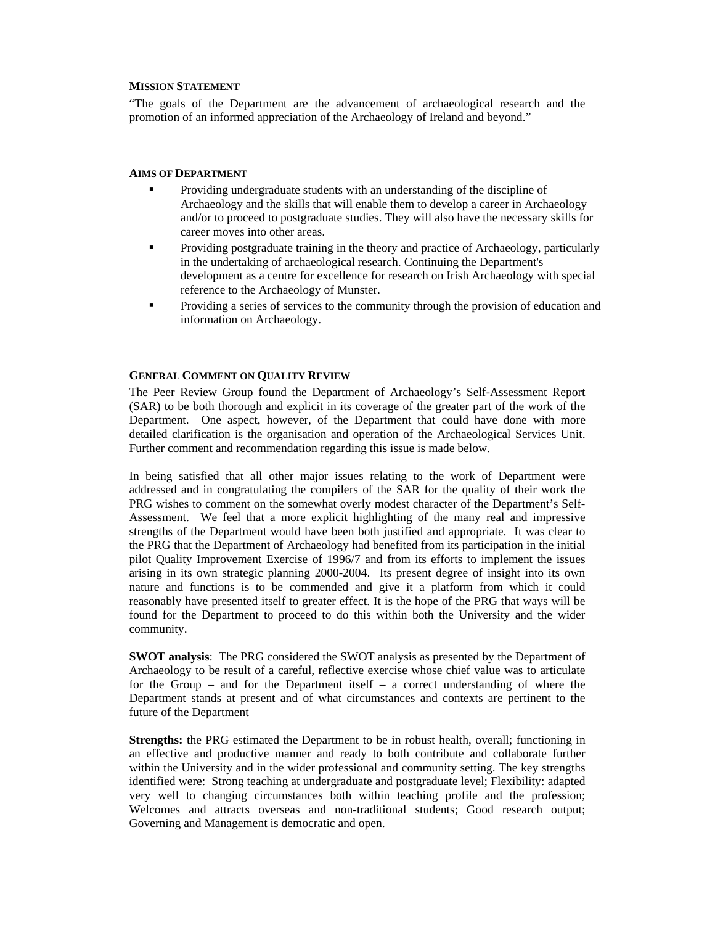#### **MISSION STATEMENT**

"The goals of the Department are the advancement of archaeological research and the promotion of an informed appreciation of the Archaeology of Ireland and beyond."

### **AIMS OF DEPARTMENT**

- Providing undergraduate students with an understanding of the discipline of Archaeology and the skills that will enable them to develop a career in Archaeology and/or to proceed to postgraduate studies. They will also have the necessary skills for career moves into other areas.
- Providing postgraduate training in the theory and practice of Archaeology, particularly in the undertaking of archaeological research. Continuing the Department's development as a centre for excellence for research on Irish Archaeology with special reference to the Archaeology of Munster.
- Providing a series of services to the community through the provision of education and information on Archaeology.

#### **GENERAL COMMENT ON QUALITY REVIEW**

The Peer Review Group found the Department of Archaeology's Self-Assessment Report (SAR) to be both thorough and explicit in its coverage of the greater part of the work of the Department. One aspect, however, of the Department that could have done with more detailed clarification is the organisation and operation of the Archaeological Services Unit. Further comment and recommendation regarding this issue is made below.

In being satisfied that all other major issues relating to the work of Department were addressed and in congratulating the compilers of the SAR for the quality of their work the PRG wishes to comment on the somewhat overly modest character of the Department's Self-Assessment. We feel that a more explicit highlighting of the many real and impressive strengths of the Department would have been both justified and appropriate. It was clear to the PRG that the Department of Archaeology had benefited from its participation in the initial pilot Quality Improvement Exercise of 1996/7 and from its efforts to implement the issues arising in its own strategic planning 2000-2004. Its present degree of insight into its own nature and functions is to be commended and give it a platform from which it could reasonably have presented itself to greater effect. It is the hope of the PRG that ways will be found for the Department to proceed to do this within both the University and the wider community.

**SWOT analysis**: The PRG considered the SWOT analysis as presented by the Department of Archaeology to be result of a careful, reflective exercise whose chief value was to articulate for the Group – and for the Department itself – a correct understanding of where the Department stands at present and of what circumstances and contexts are pertinent to the future of the Department

**Strengths:** the PRG estimated the Department to be in robust health, overall; functioning in an effective and productive manner and ready to both contribute and collaborate further within the University and in the wider professional and community setting. The key strengths identified were: Strong teaching at undergraduate and postgraduate level; Flexibility: adapted very well to changing circumstances both within teaching profile and the profession; Welcomes and attracts overseas and non-traditional students; Good research output; Governing and Management is democratic and open.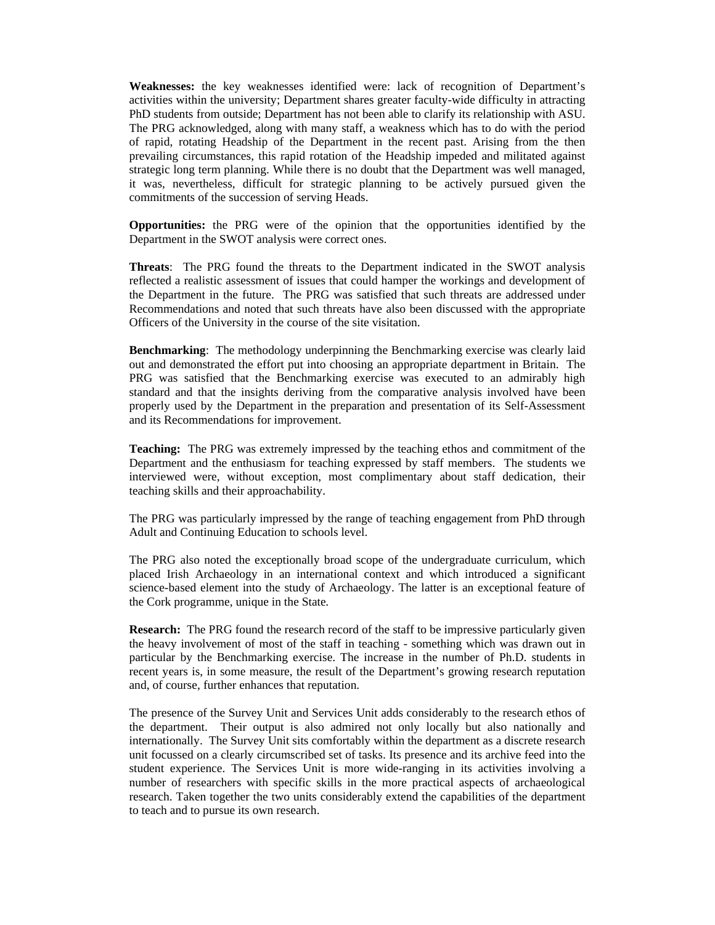**Weaknesses:** the key weaknesses identified were: lack of recognition of Department's activities within the university; Department shares greater faculty-wide difficulty in attracting PhD students from outside; Department has not been able to clarify its relationship with ASU. The PRG acknowledged, along with many staff, a weakness which has to do with the period of rapid, rotating Headship of the Department in the recent past. Arising from the then prevailing circumstances, this rapid rotation of the Headship impeded and militated against strategic long term planning. While there is no doubt that the Department was well managed, it was, nevertheless, difficult for strategic planning to be actively pursued given the commitments of the succession of serving Heads.

**Opportunities:** the PRG were of the opinion that the opportunities identified by the Department in the SWOT analysis were correct ones.

**Threats**: The PRG found the threats to the Department indicated in the SWOT analysis reflected a realistic assessment of issues that could hamper the workings and development of the Department in the future. The PRG was satisfied that such threats are addressed under Recommendations and noted that such threats have also been discussed with the appropriate Officers of the University in the course of the site visitation.

**Benchmarking**: The methodology underpinning the Benchmarking exercise was clearly laid out and demonstrated the effort put into choosing an appropriate department in Britain. The PRG was satisfied that the Benchmarking exercise was executed to an admirably high standard and that the insights deriving from the comparative analysis involved have been properly used by the Department in the preparation and presentation of its Self-Assessment and its Recommendations for improvement.

**Teaching:** The PRG was extremely impressed by the teaching ethos and commitment of the Department and the enthusiasm for teaching expressed by staff members. The students we interviewed were, without exception, most complimentary about staff dedication, their teaching skills and their approachability.

The PRG was particularly impressed by the range of teaching engagement from PhD through Adult and Continuing Education to schools level.

The PRG also noted the exceptionally broad scope of the undergraduate curriculum, which placed Irish Archaeology in an international context and which introduced a significant science-based element into the study of Archaeology. The latter is an exceptional feature of the Cork programme, unique in the State*.* 

**Research:** The PRG found the research record of the staff to be impressive particularly given the heavy involvement of most of the staff in teaching - something which was drawn out in particular by the Benchmarking exercise. The increase in the number of Ph.D. students in recent years is, in some measure, the result of the Department's growing research reputation and, of course, further enhances that reputation.

The presence of the Survey Unit and Services Unit adds considerably to the research ethos of the department. Their output is also admired not only locally but also nationally and internationally. The Survey Unit sits comfortably within the department as a discrete research unit focussed on a clearly circumscribed set of tasks. Its presence and its archive feed into the student experience. The Services Unit is more wide-ranging in its activities involving a number of researchers with specific skills in the more practical aspects of archaeological research. Taken together the two units considerably extend the capabilities of the department to teach and to pursue its own research.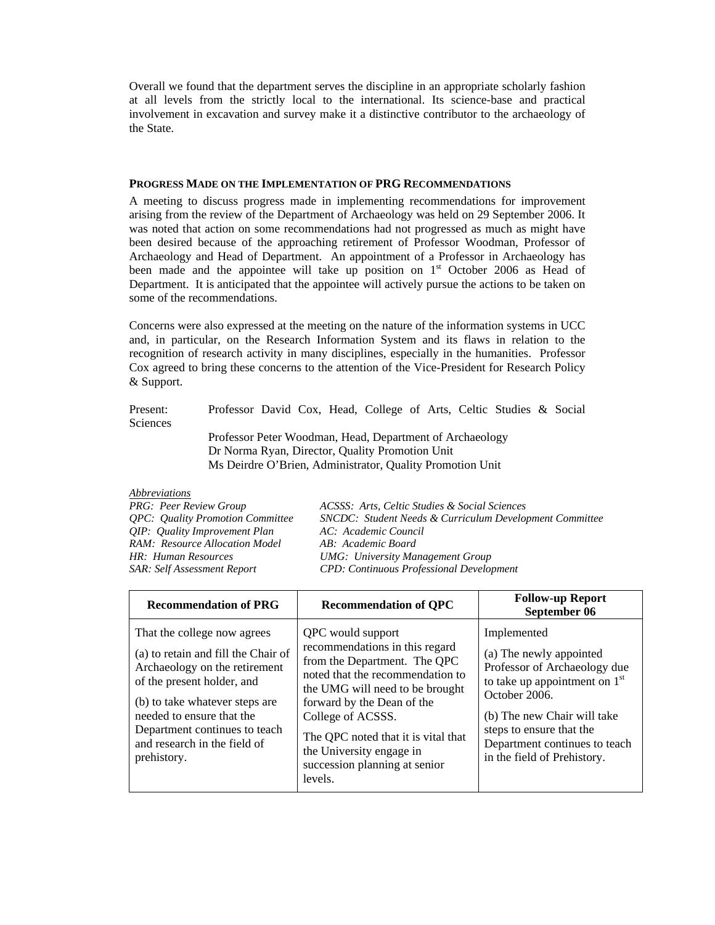Overall we found that the department serves the discipline in an appropriate scholarly fashion at all levels from the strictly local to the international. Its science-base and practical involvement in excavation and survey make it a distinctive contributor to the archaeology of the State.

#### **PROGRESS MADE ON THE IMPLEMENTATION OF PRG RECOMMENDATIONS**

A meeting to discuss progress made in implementing recommendations for improvement arising from the review of the Department of Archaeology was held on 29 September 2006. It was noted that action on some recommendations had not progressed as much as might have been desired because of the approaching retirement of Professor Woodman, Professor of Archaeology and Head of Department. An appointment of a Professor in Archaeology has been made and the appointee will take up position on 1<sup>st</sup> October 2006 as Head of Department. It is anticipated that the appointee will actively pursue the actions to be taken on some of the recommendations.

Concerns were also expressed at the meeting on the nature of the information systems in UCC and, in particular, on the Research Information System and its flaws in relation to the recognition of research activity in many disciplines, especially in the humanities. Professor Cox agreed to bring these concerns to the attention of the Vice-President for Research Policy & Support.

Present: Professor David Cox, Head, College of Arts, Celtic Studies & Social **Sciences** 

 Professor Peter Woodman, Head, Department of Archaeology Dr Norma Ryan, Director, Quality Promotion Unit Ms Deirdre O'Brien, Administrator, Quality Promotion Unit

#### *Abbreviations*

*QIP: Quality Improvement Plan AC: Academic Council RAM: Resource Allocation Model AB: Academic Board* 

*PRG: Peer Review Group ACSSS: Arts, Celtic Studies & Social Sciences QPC: Quality Promotion Committee SNCDC: Student Needs & Curriculum Development Committee HR: Human Resources UMG: University Management Group SAR: Self Assessment Report CPD: Continuous Professional Development* 

| <b>Recommendation of PRG</b>                                                                                                                                                                                                                                                     | <b>Recommendation of QPC</b>                                                                                                                                                                                                                                                                                                 | <b>Follow-up Report</b><br>September 06                                                                                                                                                                                                               |
|----------------------------------------------------------------------------------------------------------------------------------------------------------------------------------------------------------------------------------------------------------------------------------|------------------------------------------------------------------------------------------------------------------------------------------------------------------------------------------------------------------------------------------------------------------------------------------------------------------------------|-------------------------------------------------------------------------------------------------------------------------------------------------------------------------------------------------------------------------------------------------------|
| That the college now agrees<br>(a) to retain and fill the Chair of<br>Archaeology on the retirement<br>of the present holder, and<br>(b) to take whatever steps are<br>needed to ensure that the<br>Department continues to teach<br>and research in the field of<br>prehistory. | QPC would support<br>recommendations in this regard<br>from the Department. The QPC<br>noted that the recommendation to<br>the UMG will need to be brought<br>forward by the Dean of the<br>College of ACSSS.<br>The QPC noted that it is vital that<br>the University engage in<br>succession planning at senior<br>levels. | Implemented<br>(a) The newly appointed<br>Professor of Archaeology due<br>to take up appointment on $1st$<br>October 2006.<br>(b) The new Chair will take<br>steps to ensure that the<br>Department continues to teach<br>in the field of Prehistory. |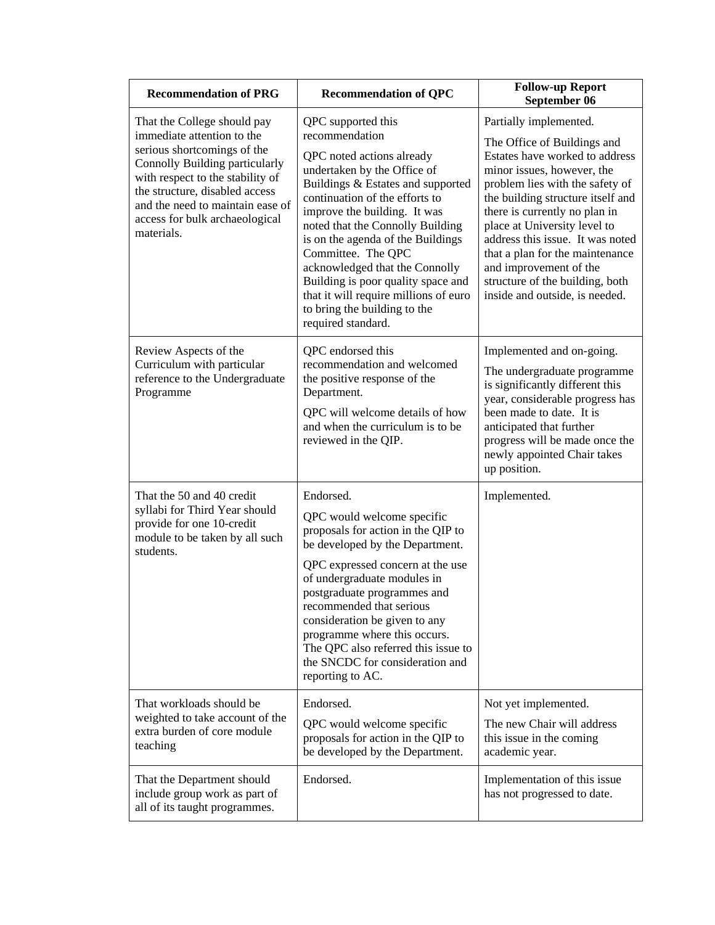| <b>Recommendation of PRG</b>                                                                                                                                                                                                                                                         | <b>Recommendation of QPC</b>                                                                                                                                                                                                                                                                                                                                                                                                                                                  | <b>Follow-up Report</b><br>September 06                                                                                                                                                                                                                                                                                                                                                                                              |
|--------------------------------------------------------------------------------------------------------------------------------------------------------------------------------------------------------------------------------------------------------------------------------------|-------------------------------------------------------------------------------------------------------------------------------------------------------------------------------------------------------------------------------------------------------------------------------------------------------------------------------------------------------------------------------------------------------------------------------------------------------------------------------|--------------------------------------------------------------------------------------------------------------------------------------------------------------------------------------------------------------------------------------------------------------------------------------------------------------------------------------------------------------------------------------------------------------------------------------|
| That the College should pay<br>immediate attention to the<br>serious shortcomings of the<br>Connolly Building particularly<br>with respect to the stability of<br>the structure, disabled access<br>and the need to maintain ease of<br>access for bulk archaeological<br>materials. | QPC supported this<br>recommendation<br>QPC noted actions already<br>undertaken by the Office of<br>Buildings & Estates and supported<br>continuation of the efforts to<br>improve the building. It was<br>noted that the Connolly Building<br>is on the agenda of the Buildings<br>Committee. The QPC<br>acknowledged that the Connolly<br>Building is poor quality space and<br>that it will require millions of euro<br>to bring the building to the<br>required standard. | Partially implemented.<br>The Office of Buildings and<br>Estates have worked to address<br>minor issues, however, the<br>problem lies with the safety of<br>the building structure itself and<br>there is currently no plan in<br>place at University level to<br>address this issue. It was noted<br>that a plan for the maintenance<br>and improvement of the<br>structure of the building, both<br>inside and outside, is needed. |
| Review Aspects of the<br>Curriculum with particular<br>reference to the Undergraduate<br>Programme                                                                                                                                                                                   | QPC endorsed this<br>recommendation and welcomed<br>the positive response of the<br>Department.<br>QPC will welcome details of how<br>and when the curriculum is to be<br>reviewed in the QIP.                                                                                                                                                                                                                                                                                | Implemented and on-going.<br>The undergraduate programme<br>is significantly different this<br>year, considerable progress has<br>been made to date. It is<br>anticipated that further<br>progress will be made once the<br>newly appointed Chair takes<br>up position.                                                                                                                                                              |
| That the 50 and 40 credit<br>syllabi for Third Year should<br>provide for one 10-credit<br>module to be taken by all such<br>students.                                                                                                                                               | Endorsed.<br>QPC would welcome specific<br>proposals for action in the QIP to<br>be developed by the Department.<br>QPC expressed concern at the use<br>of undergraduate modules in<br>postgraduate programmes and<br>recommended that serious<br>consideration be given to any<br>programme where this occurs.<br>The QPC also referred this issue to<br>the SNCDC for consideration and<br>reporting to AC.                                                                 | Implemented.                                                                                                                                                                                                                                                                                                                                                                                                                         |
| That workloads should be<br>weighted to take account of the<br>extra burden of core module<br>teaching                                                                                                                                                                               | Endorsed.<br>QPC would welcome specific<br>proposals for action in the QIP to<br>be developed by the Department.                                                                                                                                                                                                                                                                                                                                                              | Not yet implemented.<br>The new Chair will address<br>this issue in the coming<br>academic year.                                                                                                                                                                                                                                                                                                                                     |
| That the Department should<br>include group work as part of<br>all of its taught programmes.                                                                                                                                                                                         | Endorsed.                                                                                                                                                                                                                                                                                                                                                                                                                                                                     | Implementation of this issue<br>has not progressed to date.                                                                                                                                                                                                                                                                                                                                                                          |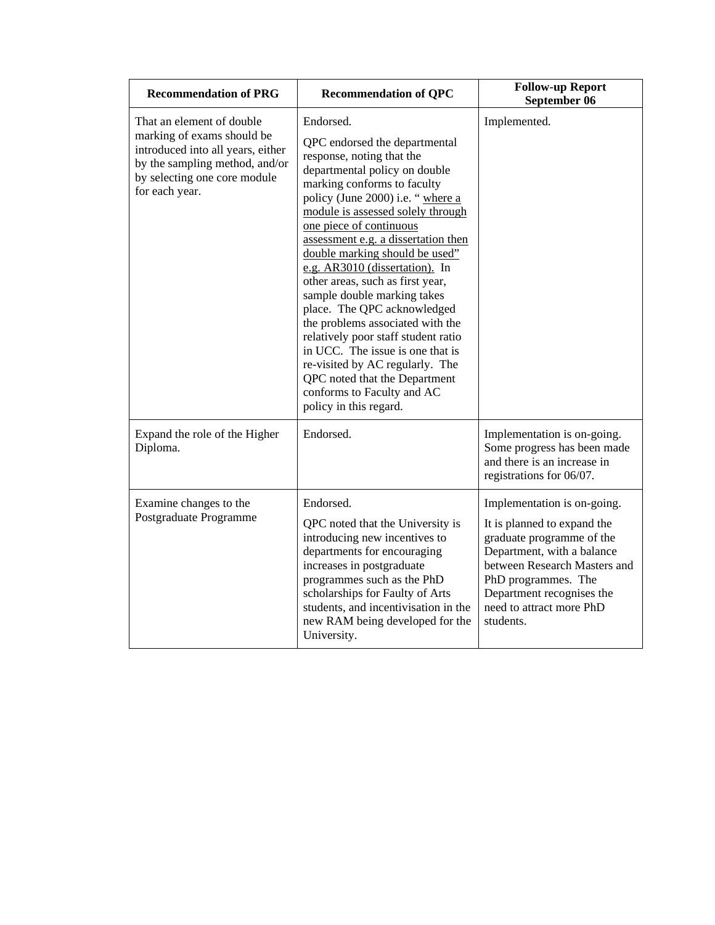| <b>Recommendation of PRG</b>                                                                                                                                                     | <b>Recommendation of QPC</b>                                                                                                                                                                                                                                                                                                                                                                                                                                                                                                                                                                                                                                                                         | <b>Follow-up Report</b><br>September 06                                                                                                                                                                                                            |
|----------------------------------------------------------------------------------------------------------------------------------------------------------------------------------|------------------------------------------------------------------------------------------------------------------------------------------------------------------------------------------------------------------------------------------------------------------------------------------------------------------------------------------------------------------------------------------------------------------------------------------------------------------------------------------------------------------------------------------------------------------------------------------------------------------------------------------------------------------------------------------------------|----------------------------------------------------------------------------------------------------------------------------------------------------------------------------------------------------------------------------------------------------|
| That an element of double<br>marking of exams should be<br>introduced into all years, either<br>by the sampling method, and/or<br>by selecting one core module<br>for each year. | Endorsed.<br>QPC endorsed the departmental<br>response, noting that the<br>departmental policy on double<br>marking conforms to faculty<br>policy (June 2000) i.e. " where a<br>module is assessed solely through<br>one piece of continuous<br>assessment e.g. a dissertation then<br>double marking should be used"<br>e.g. AR3010 (dissertation). In<br>other areas, such as first year,<br>sample double marking takes<br>place. The QPC acknowledged<br>the problems associated with the<br>relatively poor staff student ratio<br>in UCC. The issue is one that is<br>re-visited by AC regularly. The<br>QPC noted that the Department<br>conforms to Faculty and AC<br>policy in this regard. | Implemented.                                                                                                                                                                                                                                       |
| Expand the role of the Higher<br>Diploma.                                                                                                                                        | Endorsed.                                                                                                                                                                                                                                                                                                                                                                                                                                                                                                                                                                                                                                                                                            | Implementation is on-going.<br>Some progress has been made<br>and there is an increase in<br>registrations for 06/07.                                                                                                                              |
| Examine changes to the<br>Postgraduate Programme                                                                                                                                 | Endorsed.<br>QPC noted that the University is<br>introducing new incentives to<br>departments for encouraging<br>increases in postgraduate<br>programmes such as the PhD<br>scholarships for Faulty of Arts<br>students, and incentivisation in the<br>new RAM being developed for the<br>University.                                                                                                                                                                                                                                                                                                                                                                                                | Implementation is on-going.<br>It is planned to expand the<br>graduate programme of the<br>Department, with a balance<br>between Research Masters and<br>PhD programmes. The<br>Department recognises the<br>need to attract more PhD<br>students. |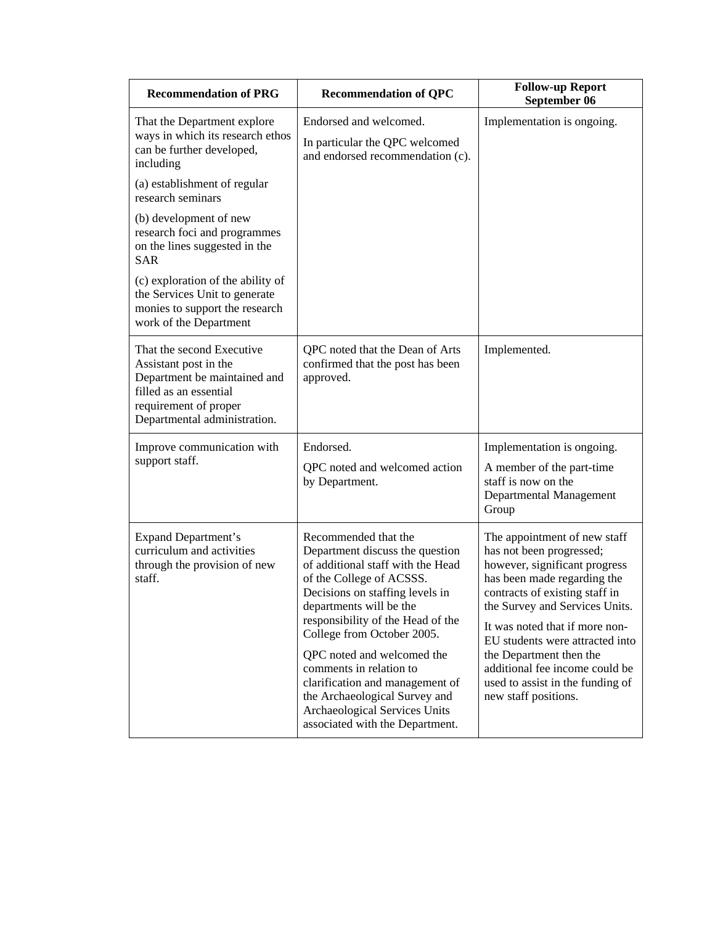| <b>Recommendation of PRG</b>                                                                                                                                          | <b>Recommendation of QPC</b>                                                                                                                                                                                                                                                                                                                                                                                                                               | <b>Follow-up Report</b><br>September 06                                                                                                                                                                                                                                                                                                                                                    |
|-----------------------------------------------------------------------------------------------------------------------------------------------------------------------|------------------------------------------------------------------------------------------------------------------------------------------------------------------------------------------------------------------------------------------------------------------------------------------------------------------------------------------------------------------------------------------------------------------------------------------------------------|--------------------------------------------------------------------------------------------------------------------------------------------------------------------------------------------------------------------------------------------------------------------------------------------------------------------------------------------------------------------------------------------|
| That the Department explore<br>ways in which its research ethos<br>can be further developed,<br>including                                                             | Endorsed and welcomed.<br>In particular the QPC welcomed<br>and endorsed recommendation (c).                                                                                                                                                                                                                                                                                                                                                               | Implementation is ongoing.                                                                                                                                                                                                                                                                                                                                                                 |
| (a) establishment of regular<br>research seminars                                                                                                                     |                                                                                                                                                                                                                                                                                                                                                                                                                                                            |                                                                                                                                                                                                                                                                                                                                                                                            |
| (b) development of new<br>research foci and programmes<br>on the lines suggested in the<br><b>SAR</b>                                                                 |                                                                                                                                                                                                                                                                                                                                                                                                                                                            |                                                                                                                                                                                                                                                                                                                                                                                            |
| (c) exploration of the ability of<br>the Services Unit to generate<br>monies to support the research<br>work of the Department                                        |                                                                                                                                                                                                                                                                                                                                                                                                                                                            |                                                                                                                                                                                                                                                                                                                                                                                            |
| That the second Executive<br>Assistant post in the<br>Department be maintained and<br>filled as an essential<br>requirement of proper<br>Departmental administration. | QPC noted that the Dean of Arts<br>confirmed that the post has been<br>approved.                                                                                                                                                                                                                                                                                                                                                                           | Implemented.                                                                                                                                                                                                                                                                                                                                                                               |
| Improve communication with<br>support staff.                                                                                                                          | Endorsed.<br>QPC noted and welcomed action<br>by Department.                                                                                                                                                                                                                                                                                                                                                                                               | Implementation is ongoing.<br>A member of the part-time<br>staff is now on the<br>Departmental Management<br>Group                                                                                                                                                                                                                                                                         |
| <b>Expand Department's</b><br>curriculum and activities<br>through the provision of new<br>staff.                                                                     | Recommended that the<br>Department discuss the question<br>of additional staff with the Head<br>of the College of ACSSS.<br>Decisions on staffing levels in<br>departments will be the<br>responsibility of the Head of the<br>College from October 2005.<br>QPC noted and welcomed the<br>comments in relation to<br>clarification and management of<br>the Archaeological Survey and<br>Archaeological Services Units<br>associated with the Department. | The appointment of new staff<br>has not been progressed;<br>however, significant progress<br>has been made regarding the<br>contracts of existing staff in<br>the Survey and Services Units.<br>It was noted that if more non-<br>EU students were attracted into<br>the Department then the<br>additional fee income could be<br>used to assist in the funding of<br>new staff positions. |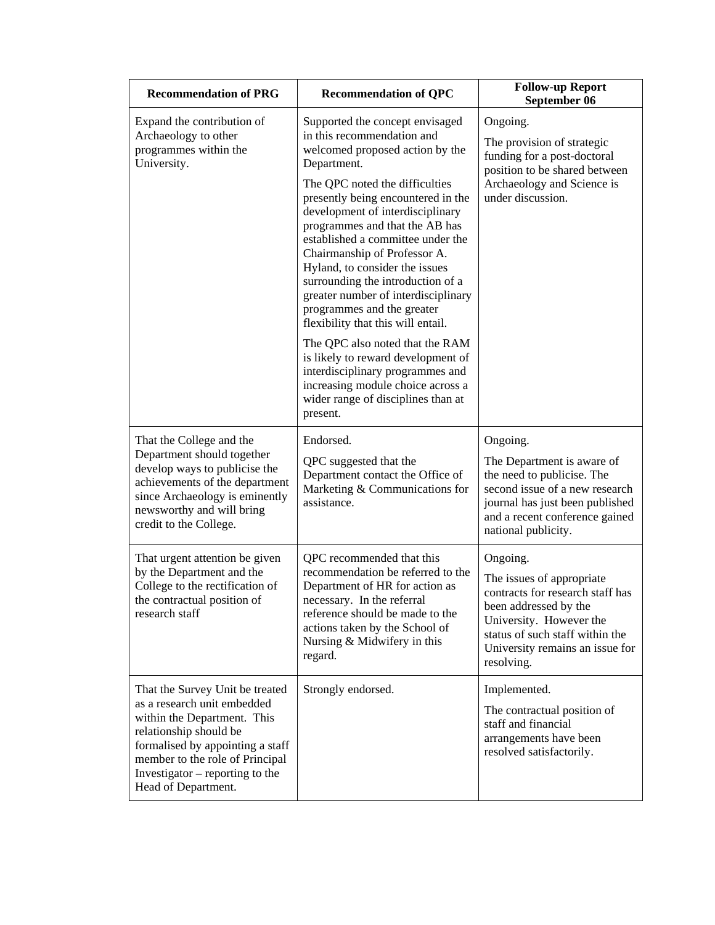| <b>Recommendation of PRG</b>                                                                                                                                                                                          | <b>Recommendation of QPC</b>                                                                                                                                                                                                                                                                                                                                                                      | <b>Follow-up Report</b><br>September 06                                                                                                                                                                           |  |
|-----------------------------------------------------------------------------------------------------------------------------------------------------------------------------------------------------------------------|---------------------------------------------------------------------------------------------------------------------------------------------------------------------------------------------------------------------------------------------------------------------------------------------------------------------------------------------------------------------------------------------------|-------------------------------------------------------------------------------------------------------------------------------------------------------------------------------------------------------------------|--|
| Expand the contribution of<br>Archaeology to other<br>programmes within the<br>University.                                                                                                                            | Supported the concept envisaged<br>in this recommendation and<br>welcomed proposed action by the<br>Department.                                                                                                                                                                                                                                                                                   | Ongoing.<br>The provision of strategic<br>funding for a post-doctoral<br>position to be shared between                                                                                                            |  |
|                                                                                                                                                                                                                       | The QPC noted the difficulties<br>presently being encountered in the<br>development of interdisciplinary<br>programmes and that the AB has<br>established a committee under the<br>Chairmanship of Professor A.<br>Hyland, to consider the issues<br>surrounding the introduction of a<br>greater number of interdisciplinary<br>programmes and the greater<br>flexibility that this will entail. | Archaeology and Science is<br>under discussion.                                                                                                                                                                   |  |
|                                                                                                                                                                                                                       | The QPC also noted that the RAM<br>is likely to reward development of<br>interdisciplinary programmes and<br>increasing module choice across a<br>wider range of disciplines than at<br>present.                                                                                                                                                                                                  |                                                                                                                                                                                                                   |  |
| That the College and the                                                                                                                                                                                              | Endorsed.                                                                                                                                                                                                                                                                                                                                                                                         | Ongoing.                                                                                                                                                                                                          |  |
| Department should together<br>develop ways to publicise the<br>achievements of the department<br>since Archaeology is eminently<br>newsworthy and will bring<br>credit to the College.                                | QPC suggested that the<br>Department contact the Office of<br>Marketing & Communications for<br>assistance.                                                                                                                                                                                                                                                                                       | The Department is aware of<br>the need to publicise. The<br>second issue of a new research<br>journal has just been published<br>and a recent conference gained<br>national publicity.                            |  |
| That urgent attention be given<br>by the Department and the<br>College to the rectification of<br>the contractual position of<br>research staff                                                                       | QPC recommended that this<br>recommendation be referred to the<br>Department of HR for action as<br>necessary. In the referral<br>reference should be made to the<br>actions taken by the School of<br>Nursing & Midwifery in this<br>regard.                                                                                                                                                     | Ongoing.<br>The issues of appropriate<br>contracts for research staff has<br>been addressed by the<br>University. However the<br>status of such staff within the<br>University remains an issue for<br>resolving. |  |
| That the Survey Unit be treated                                                                                                                                                                                       | Strongly endorsed.                                                                                                                                                                                                                                                                                                                                                                                | Implemented.                                                                                                                                                                                                      |  |
| as a research unit embedded<br>within the Department. This<br>relationship should be<br>formalised by appointing a staff<br>member to the role of Principal<br>Investigator – reporting to the<br>Head of Department. |                                                                                                                                                                                                                                                                                                                                                                                                   | The contractual position of<br>staff and financial<br>arrangements have been<br>resolved satisfactorily.                                                                                                          |  |